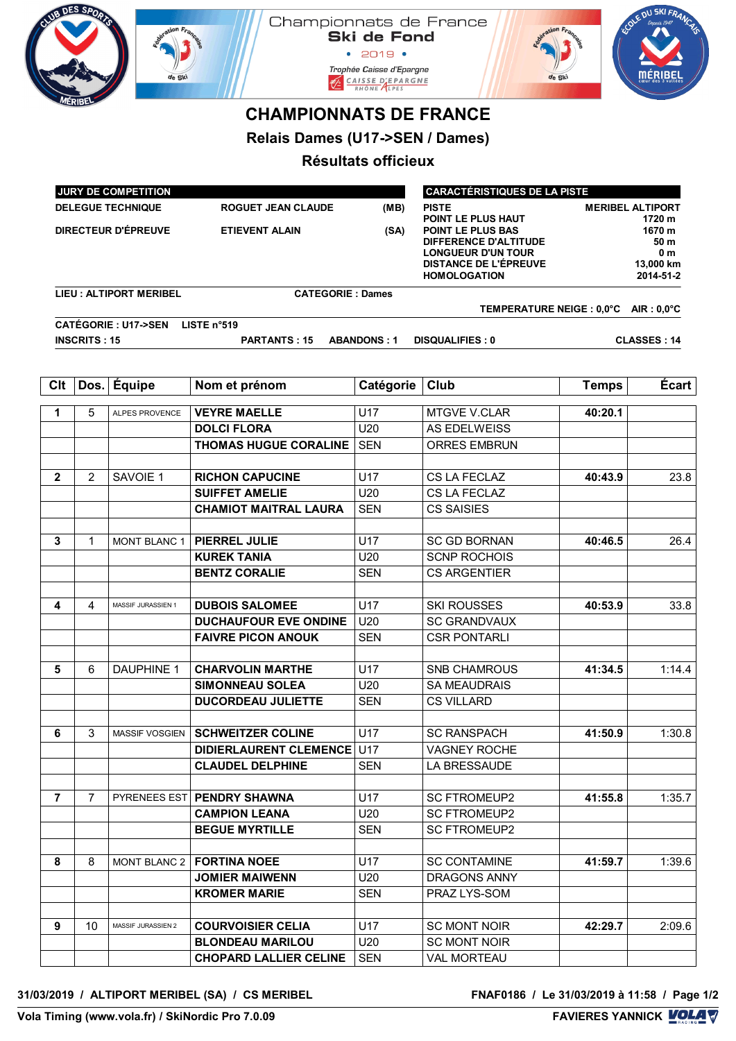| UB DES SPO                                          |                     |                                                        | Championnats de France                                    | <b>Ski de Fond</b><br>• 2019 •<br>Trophée Caisse d'Epargne<br>$CAISE DFARGNE\nRHÔNE$ | $\mathop{\rm ion}$ F,                                                                                                                 |                                                            | <b>DU SKIF</b>     |  |
|-----------------------------------------------------|---------------------|--------------------------------------------------------|-----------------------------------------------------------|--------------------------------------------------------------------------------------|---------------------------------------------------------------------------------------------------------------------------------------|------------------------------------------------------------|--------------------|--|
|                                                     |                     |                                                        | <b>CHAMPIONNATS DE FRANCE</b>                             |                                                                                      |                                                                                                                                       |                                                            |                    |  |
|                                                     |                     |                                                        | Relais Dames (U17->SEN / Dames)                           |                                                                                      |                                                                                                                                       |                                                            |                    |  |
|                                                     |                     |                                                        |                                                           | Résultats officieux                                                                  |                                                                                                                                       |                                                            |                    |  |
|                                                     |                     |                                                        |                                                           |                                                                                      |                                                                                                                                       |                                                            |                    |  |
|                                                     |                     | <b>JURY DE COMPETITION</b><br><b>DELEGUE TECHNIQUE</b> | <b>ROGUET JEAN CLAUDE</b>                                 | (MB)                                                                                 | <b>CARACTÉRISTIQUES DE LA PISTE</b><br><b>PISTE</b>                                                                                   |                                                            |                    |  |
|                                                     |                     |                                                        |                                                           |                                                                                      | POINT LE PLUS HAUT                                                                                                                    | <b>MERIBEL ALTIPORT</b><br>1720 m                          |                    |  |
| <b>DIRECTEUR D'ÉPREUVE</b><br><b>ETIEVENT ALAIN</b> |                     |                                                        |                                                           | (SA)                                                                                 | <b>POINT LE PLUS BAS</b><br>DIFFERENCE D'ALTITUDE<br><b>LONGUEUR D'UN TOUR</b><br><b>DISTANCE DE L'ÉPREUVE</b><br><b>HOMOLOGATION</b> | 1670 m<br>50 m<br>0 <sub>m</sub><br>13,000 km<br>2014-51-2 |                    |  |
|                                                     |                     | <b>LIEU: ALTIPORT MERIBEL</b>                          | <b>CATEGORIE: Dames</b>                                   |                                                                                      |                                                                                                                                       |                                                            |                    |  |
|                                                     |                     | <b>CATÉGORIE: U17-&gt;SEN</b>                          | LISTE $n^{\circ}519$                                      |                                                                                      | TEMPERATURE NEIGE : 0,0°C AIR : 0,0°C                                                                                                 |                                                            |                    |  |
|                                                     | <b>INSCRITS: 15</b> |                                                        | <b>PARTANTS: 15</b>                                       | <b>ABANDONS: 1</b>                                                                   | <b>DISQUALIFIES: 0</b>                                                                                                                |                                                            | <b>CLASSES: 14</b> |  |
|                                                     |                     |                                                        |                                                           |                                                                                      |                                                                                                                                       |                                                            |                    |  |
| Clt                                                 | Dos.                | Équipe                                                 | Nom et prénom                                             | Catégorie                                                                            | Club                                                                                                                                  | <b>Temps</b>                                               | Écart              |  |
| 1                                                   | 5                   | <b>ALPES PROVENCE</b>                                  | <b>VEYRE MAELLE</b>                                       | U17                                                                                  | <b>MTGVE V.CLAR</b>                                                                                                                   | 40:20.1                                                    |                    |  |
|                                                     |                     |                                                        | <b>DOLCI FLORA</b>                                        | U20                                                                                  | AS EDELWEISS                                                                                                                          |                                                            |                    |  |
|                                                     |                     |                                                        | <b>THOMAS HUGUE CORALINE</b>                              | <b>SEN</b>                                                                           | <b>ORRES EMBRUN</b>                                                                                                                   |                                                            |                    |  |
| $\mathbf{2}$                                        | 2                   | SAVOIE 1                                               | <b>RICHON CAPUCINE</b>                                    | U17                                                                                  | CS LA FECLAZ                                                                                                                          | 40:43.9                                                    | 23.8               |  |
|                                                     |                     |                                                        | <b>SUIFFET AMELIE</b>                                     | U20                                                                                  | CS LA FECLAZ                                                                                                                          |                                                            |                    |  |
|                                                     |                     |                                                        | <b>CHAMIOT MAITRAL LAURA</b>                              | <b>SEN</b>                                                                           | <b>CS SAISIES</b>                                                                                                                     |                                                            |                    |  |
|                                                     |                     |                                                        |                                                           |                                                                                      |                                                                                                                                       |                                                            |                    |  |
| 3                                                   | 1                   | <b>MONT BLANC 1</b>                                    | PIERREL JULIE                                             | U17                                                                                  | <b>SC GD BORNAN</b>                                                                                                                   | 40:46.5                                                    | 26.4               |  |
|                                                     |                     |                                                        | <b>KUREK TANIA</b>                                        | U20                                                                                  | <b>SCNP ROCHOIS</b>                                                                                                                   |                                                            |                    |  |
|                                                     |                     |                                                        | <b>BENTZ CORALIE</b>                                      | <b>SEN</b>                                                                           | <b>CS ARGENTIER</b>                                                                                                                   |                                                            |                    |  |
| 4                                                   | 4                   | MASSIF JURASSIEN 1                                     | <b>DUBOIS SALOMEE</b>                                     | U17                                                                                  | <b>SKI ROUSSES</b>                                                                                                                    | 40:53.9                                                    | 33.8               |  |
|                                                     |                     |                                                        | <b>DUCHAUFOUR EVE ONDINE</b>                              | U20                                                                                  | <b>SC GRANDVAUX</b>                                                                                                                   |                                                            |                    |  |
|                                                     |                     |                                                        | <b>FAIVRE PICON ANOUK</b>                                 | <b>SEN</b>                                                                           | <b>CSR PONTARLI</b>                                                                                                                   |                                                            |                    |  |
|                                                     |                     |                                                        |                                                           |                                                                                      |                                                                                                                                       |                                                            |                    |  |
| 5                                                   | 6                   | <b>DAUPHINE 1</b>                                      | <b>CHARVOLIN MARTHE</b>                                   | U17                                                                                  | <b>SNB CHAMROUS</b>                                                                                                                   | 41:34.5                                                    | 1:14.4             |  |
|                                                     |                     |                                                        | <b>SIMONNEAU SOLEA</b><br><b>DUCORDEAU JULIETTE</b>       | U20<br><b>SEN</b>                                                                    | <b>SA MEAUDRAIS</b><br><b>CS VILLARD</b>                                                                                              |                                                            |                    |  |
|                                                     |                     |                                                        |                                                           |                                                                                      |                                                                                                                                       |                                                            |                    |  |
| 6                                                   | 3                   | MASSIF VOSGIEN                                         | <b>SCHWEITZER COLINE</b>                                  | U17                                                                                  | <b>SC RANSPACH</b>                                                                                                                    | 41:50.9                                                    | 1:30.8             |  |
|                                                     |                     |                                                        | <b>DIDIERLAURENT CLEMENCE U17</b>                         |                                                                                      | <b>VAGNEY ROCHE</b>                                                                                                                   |                                                            |                    |  |
|                                                     |                     |                                                        | <b>CLAUDEL DELPHINE</b>                                   | <b>SEN</b>                                                                           | LA BRESSAUDE                                                                                                                          |                                                            |                    |  |
|                                                     |                     |                                                        |                                                           |                                                                                      |                                                                                                                                       |                                                            |                    |  |
| $\overline{7}$                                      | 7                   |                                                        | PYRENEES EST <b>PENDRY SHAWNA</b><br><b>CAMPION LEANA</b> | U17<br>U20                                                                           | <b>SC FTROMEUP2</b><br><b>SC FTROMEUP2</b>                                                                                            | 41:55.8                                                    | 1:35.7             |  |
|                                                     |                     |                                                        | <b>BEGUE MYRTILLE</b>                                     | <b>SEN</b>                                                                           | <b>SC FTROMEUP2</b>                                                                                                                   |                                                            |                    |  |
|                                                     |                     |                                                        |                                                           |                                                                                      |                                                                                                                                       |                                                            |                    |  |
| 8                                                   | 8                   |                                                        | MONT BLANC 2   FORTINA NOEE                               | U17                                                                                  | <b>SC CONTAMINE</b>                                                                                                                   | 41:59.7                                                    | 1:39.6             |  |
|                                                     |                     |                                                        | <b>JOMIER MAIWENN</b>                                     | U20                                                                                  | DRAGONS ANNY                                                                                                                          |                                                            |                    |  |
|                                                     |                     |                                                        | <b>KROMER MARIE</b>                                       | <b>SEN</b>                                                                           | PRAZ LYS-SOM                                                                                                                          |                                                            |                    |  |
|                                                     |                     |                                                        |                                                           |                                                                                      |                                                                                                                                       |                                                            |                    |  |
| 9                                                   | 10                  | MASSIF JURASSIEN 2                                     | <b>COURVOISIER CELIA</b><br><b>BLONDEAU MARILOU</b>       | U17<br>U20                                                                           | <b>SC MONT NOIR</b><br><b>SC MONT NOIR</b>                                                                                            | 42:29.7                                                    | 2:09.6             |  |
|                                                     |                     |                                                        | <b>CHOPARD LALLIER CELINE</b>                             | <b>SEN</b>                                                                           | <b>VAL MORTEAU</b>                                                                                                                    |                                                            |                    |  |